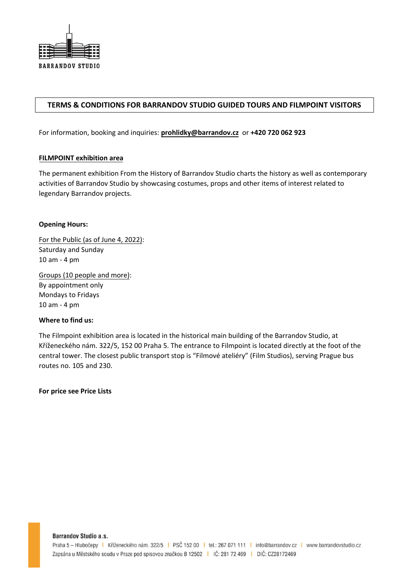

# **TERMS & CONDITIONS FOR BARRANDOV STUDIO GUIDED TOURS AND FILMPOINT VISITORS**

For information, booking and inquiries: **[prohlidky@barrandov.cz](mailto:prohlidky@barrandov.cz)** or **+420 720 062 923**

### **FILMPOINT exhibition area**

The permanent exhibition From the History of Barrandov Studio charts the history as well as contemporary activities of Barrandov Studio by showcasing costumes, props and other items of interest related to legendary Barrandov projects.

## **Opening Hours:**

For the Public (as of June 4, 2022): Saturday and Sunday 10 am - 4 pm

Groups (10 people and more): By appointment only Mondays to Fridays 10 am - 4 pm

### **Where to find us:**

The Filmpoint exhibition area is located in the historical main building of the Barrandov Studio, at Kříženeckého nám. 322/5, 152 00 Praha 5. The entrance to Filmpoint is located directly at the foot of the central tower. The closest public transport stop is "Filmové ateliéry" (Film Studios), serving Prague bus routes no. 105 and 230.

**For price see Price Lists**